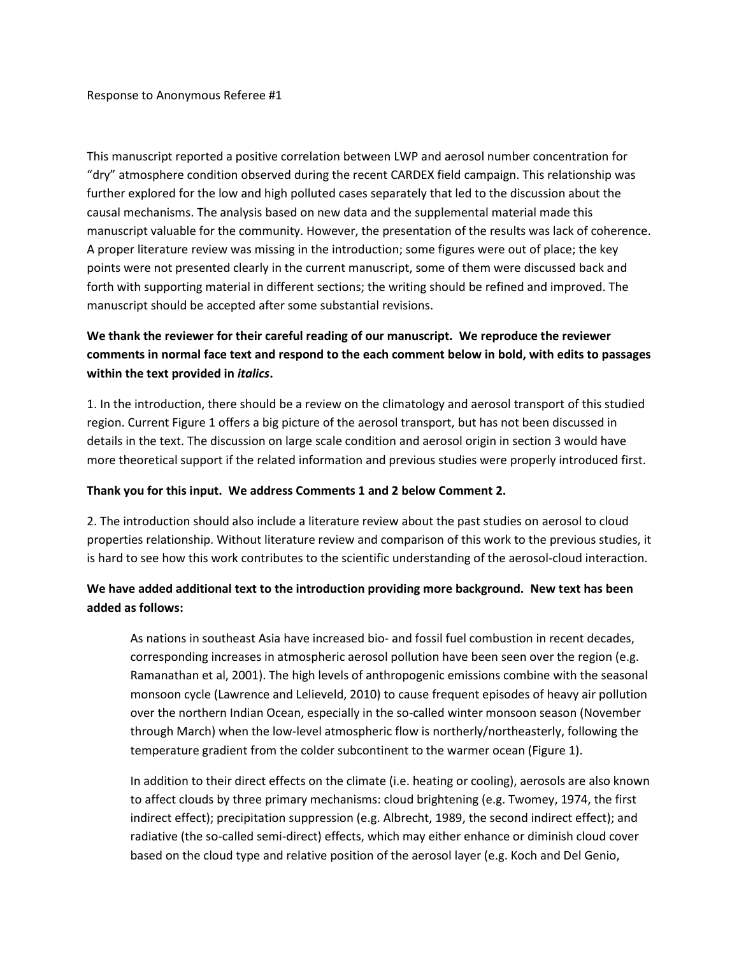This manuscript reported a positive correlation between LWP and aerosol number concentration for "dry" atmosphere condition observed during the recent CARDEX field campaign. This relationship was further explored for the low and high polluted cases separately that led to the discussion about the causal mechanisms. The analysis based on new data and the supplemental material made this manuscript valuable for the community. However, the presentation of the results was lack of coherence. A proper literature review was missing in the introduction; some figures were out of place; the key points were not presented clearly in the current manuscript, some of them were discussed back and forth with supporting material in different sections; the writing should be refined and improved. The manuscript should be accepted after some substantial revisions.

# **We thank the reviewer for their careful reading of our manuscript. We reproduce the reviewer comments in normal face text and respond to the each comment below in bold, with edits to passages within the text provided in** *italics***.**

1. In the introduction, there should be a review on the climatology and aerosol transport of this studied region. Current Figure 1 offers a big picture of the aerosol transport, but has not been discussed in details in the text. The discussion on large scale condition and aerosol origin in section 3 would have more theoretical support if the related information and previous studies were properly introduced first.

## **Thank you for this input. We address Comments 1 and 2 below Comment 2.**

2. The introduction should also include a literature review about the past studies on aerosol to cloud properties relationship. Without literature review and comparison of this work to the previous studies, it is hard to see how this work contributes to the scientific understanding of the aerosol-cloud interaction.

## **We have added additional text to the introduction providing more background. New text has been added as follows:**

As nations in southeast Asia have increased bio- and fossil fuel combustion in recent decades, corresponding increases in atmospheric aerosol pollution have been seen over the region (e.g. Ramanathan et al, 2001). The high levels of anthropogenic emissions combine with the seasonal monsoon cycle (Lawrence and Lelieveld, 2010) to cause frequent episodes of heavy air pollution over the northern Indian Ocean, especially in the so-called winter monsoon season (November through March) when the low-level atmospheric flow is northerly/northeasterly, following the temperature gradient from the colder subcontinent to the warmer ocean (Figure 1).

In addition to their direct effects on the climate (i.e. heating or cooling), aerosols are also known to affect clouds by three primary mechanisms: cloud brightening (e.g. Twomey, 1974, the first indirect effect); precipitation suppression (e.g. Albrecht, 1989, the second indirect effect); and radiative (the so-called semi-direct) effects, which may either enhance or diminish cloud cover based on the cloud type and relative position of the aerosol layer (e.g. Koch and Del Genio,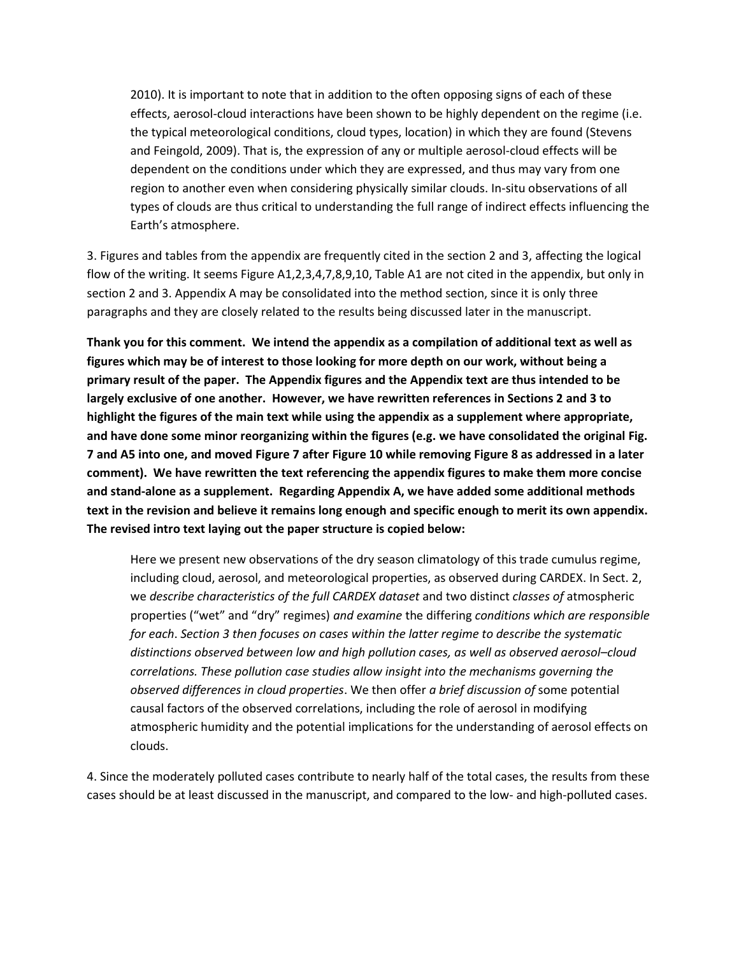2010). It is important to note that in addition to the often opposing signs of each of these effects, aerosol-cloud interactions have been shown to be highly dependent on the regime (i.e. the typical meteorological conditions, cloud types, location) in which they are found (Stevens and Feingold, 2009). That is, the expression of any or multiple aerosol-cloud effects will be dependent on the conditions under which they are expressed, and thus may vary from one region to another even when considering physically similar clouds. In-situ observations of all types of clouds are thus critical to understanding the full range of indirect effects influencing the Earth's atmosphere.

3. Figures and tables from the appendix are frequently cited in the section 2 and 3, affecting the logical flow of the writing. It seems Figure A1,2,3,4,7,8,9,10, Table A1 are not cited in the appendix, but only in section 2 and 3. Appendix A may be consolidated into the method section, since it is only three paragraphs and they are closely related to the results being discussed later in the manuscript.

**Thank you for this comment. We intend the appendix as a compilation of additional text as well as figures which may be of interest to those looking for more depth on our work, without being a primary result of the paper. The Appendix figures and the Appendix text are thus intended to be largely exclusive of one another. However, we have rewritten references in Sections 2 and 3 to highlight the figures of the main text while using the appendix as a supplement where appropriate, and have done some minor reorganizing within the figures (e.g. we have consolidated the original Fig. 7 and A5 into one, and moved Figure 7 after Figure 10 while removing Figure 8 as addressed in a later comment). We have rewritten the text referencing the appendix figures to make them more concise and stand-alone as a supplement. Regarding Appendix A, we have added some additional methods text in the revision and believe it remains long enough and specific enough to merit its own appendix. The revised intro text laying out the paper structure is copied below:**

Here we present new observations of the dry season climatology of this trade cumulus regime, including cloud, aerosol, and meteorological properties, as observed during CARDEX. In Sect. 2, we *describe characteristics of the full CARDEX dataset* and two distinct *classes of* atmospheric properties ("wet" and "dry" regimes) *and examine* the differing *conditions which are responsible for each*. *Section 3 then focuses on cases within the latter regime to describe the systematic distinctions observed between low and high pollution cases, as well as observed aerosol–cloud correlations. These pollution case studies allow insight into the mechanisms governing the observed differences in cloud properties*. We then offer *a brief discussion of* some potential causal factors of the observed correlations, including the role of aerosol in modifying atmospheric humidity and the potential implications for the understanding of aerosol effects on clouds.

4. Since the moderately polluted cases contribute to nearly half of the total cases, the results from these cases should be at least discussed in the manuscript, and compared to the low- and high-polluted cases.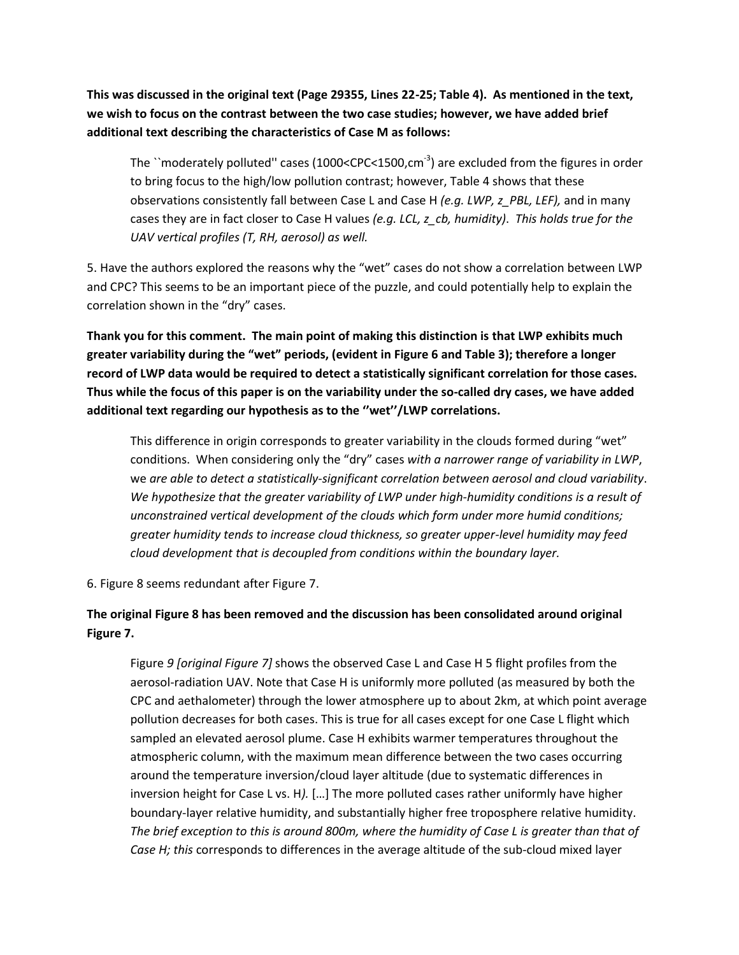**This was discussed in the original text (Page 29355, Lines 22-25; Table 4). As mentioned in the text, we wish to focus on the contrast between the two case studies; however, we have added brief additional text describing the characteristics of Case M as follows:**

The ``moderately polluted" cases (1000<CPC<1500,cm<sup>-3</sup>) are excluded from the figures in order to bring focus to the high/low pollution contrast; however, Table 4 shows that these observations consistently fall between Case L and Case H *(e.g. LWP, z\_PBL, LEF),* and in many cases they are in fact closer to Case H values *(e.g. LCL, z\_cb, humidity)*. *This holds true for the UAV vertical profiles (T, RH, aerosol) as well.*

5. Have the authors explored the reasons why the "wet" cases do not show a correlation between LWP and CPC? This seems to be an important piece of the puzzle, and could potentially help to explain the correlation shown in the "dry" cases.

**Thank you for this comment. The main point of making this distinction is that LWP exhibits much greater variability during the "wet" periods, (evident in Figure 6 and Table 3); therefore a longer record of LWP data would be required to detect a statistically significant correlation for those cases. Thus while the focus of this paper is on the variability under the so-called dry cases, we have added additional text regarding our hypothesis as to the ''wet''/LWP correlations.** 

This difference in origin corresponds to greater variability in the clouds formed during "wet" conditions. When considering only the "dry" cases *with a narrower range of variability in LWP*, we *are able to detect a statistically-significant correlation between aerosol and cloud variability*. *We hypothesize that the greater variability of LWP under high-humidity conditions is a result of unconstrained vertical development of the clouds which form under more humid conditions; greater humidity tends to increase cloud thickness, so greater upper-level humidity may feed cloud development that is decoupled from conditions within the boundary layer.*

6. Figure 8 seems redundant after Figure 7.

# **The original Figure 8 has been removed and the discussion has been consolidated around original Figure 7.**

Figure *9 [original Figure 7]* shows the observed Case L and Case H 5 flight profiles from the aerosol-radiation UAV. Note that Case H is uniformly more polluted (as measured by both the CPC and aethalometer) through the lower atmosphere up to about 2km, at which point average pollution decreases for both cases. This is true for all cases except for one Case L flight which sampled an elevated aerosol plume. Case H exhibits warmer temperatures throughout the atmospheric column, with the maximum mean difference between the two cases occurring around the temperature inversion/cloud layer altitude (due to systematic differences in inversion height for Case L vs. H*).* […] The more polluted cases rather uniformly have higher boundary-layer relative humidity, and substantially higher free troposphere relative humidity. *The brief exception to this is around 800m, where the humidity of Case L is greater than that of Case H; this* corresponds to differences in the average altitude of the sub-cloud mixed layer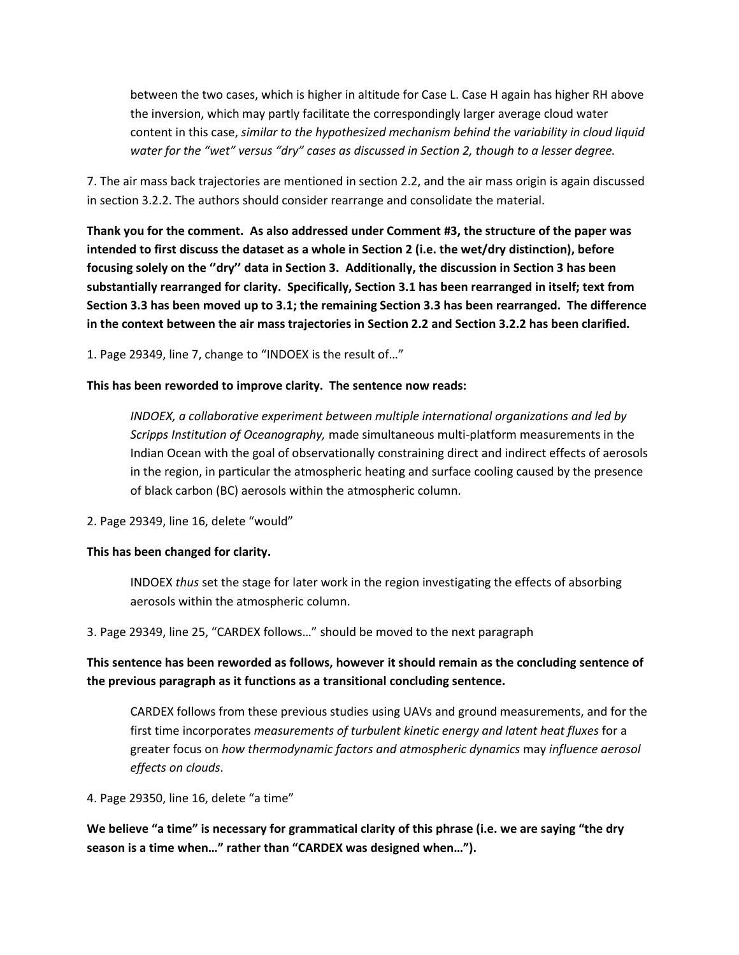between the two cases, which is higher in altitude for Case L. Case H again has higher RH above the inversion, which may partly facilitate the correspondingly larger average cloud water content in this case, *similar to the hypothesized mechanism behind the variability in cloud liquid water for the "wet" versus "dry" cases as discussed in Section 2, though to a lesser degree.*

7. The air mass back trajectories are mentioned in section 2.2, and the air mass origin is again discussed in section 3.2.2. The authors should consider rearrange and consolidate the material.

**Thank you for the comment. As also addressed under Comment #3, the structure of the paper was intended to first discuss the dataset as a whole in Section 2 (i.e. the wet/dry distinction), before focusing solely on the ''dry'' data in Section 3. Additionally, the discussion in Section 3 has been substantially rearranged for clarity. Specifically, Section 3.1 has been rearranged in itself; text from Section 3.3 has been moved up to 3.1; the remaining Section 3.3 has been rearranged. The difference in the context between the air mass trajectories in Section 2.2 and Section 3.2.2 has been clarified.** 

1. Page 29349, line 7, change to "INDOEX is the result of…"

## **This has been reworded to improve clarity. The sentence now reads:**

*INDOEX, a collaborative experiment between multiple international organizations and led by Scripps Institution of Oceanography,* made simultaneous multi-platform measurements in the Indian Ocean with the goal of observationally constraining direct and indirect effects of aerosols in the region, in particular the atmospheric heating and surface cooling caused by the presence of black carbon (BC) aerosols within the atmospheric column.

2. Page 29349, line 16, delete "would"

## **This has been changed for clarity.**

INDOEX *thus* set the stage for later work in the region investigating the effects of absorbing aerosols within the atmospheric column.

3. Page 29349, line 25, "CARDEX follows…" should be moved to the next paragraph

**This sentence has been reworded as follows, however it should remain as the concluding sentence of the previous paragraph as it functions as a transitional concluding sentence.**

CARDEX follows from these previous studies using UAVs and ground measurements, and for the first time incorporates *measurements of turbulent kinetic energy and latent heat fluxes* for a greater focus on *how thermodynamic factors and atmospheric dynamics* may *influence aerosol effects on clouds*.

4. Page 29350, line 16, delete "a time"

**We believe "a time" is necessary for grammatical clarity of this phrase (i.e. we are saying "the dry season is a time when…" rather than "CARDEX was designed when…").**